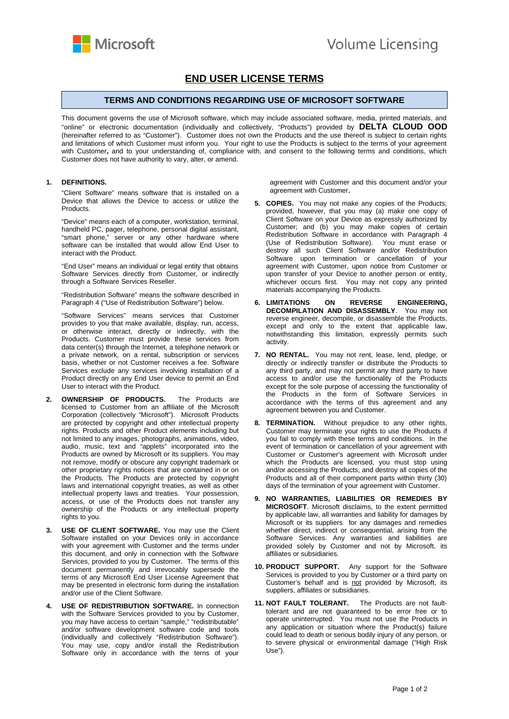

## **END USER LICENSE TERMS**

## **TERMS AND CONDITIONS REGARDING USE OF MICROSOFT SOFTWARE**

This document governs the use of Microsoft software, which may include associated software, media, printed materials, and "online" or electronic documentation (individually and collectively, "Products") provided by **DELTA CLOUD OOD** (hereinafter referred to as "Customer"). Customer does not own the Products and the use thereof is subject to certain rights and limitations of which Customer must inform you. Your right to use the Products is subject to the terms of your agreement with Customer**,** and to your understanding of, compliance with, and consent to the following terms and conditions, which Customer does not have authority to vary, alter, or amend.

## **1. DEFINITIONS.**

"Client Software" means software that is installed on a Device that allows the Device to access or utilize the Products.

"Device" means each of a computer, workstation, terminal, handheld PC, pager, telephone, personal digital assistant, "smart phone," server or any other hardware where software can be installed that would allow End User to interact with the Product.

"End User" means an individual or legal entity that obtains Software Services directly from Customer, or indirectly through a Software Services Reseller.

"Redistribution Software" means the software described in Paragraph 4 ("Use of Redistribution Software") below.

"Software Services" means services that Customer provides to you that make available, display, run, access, or otherwise interact, directly or indirectly, with the Products. Customer must provide these services from data center(s) through the Internet, a telephone network or a private network, on a rental, subscription or services basis, whether or not Customer receives a fee. Software Services exclude any services involving installation of a Product directly on any End User device to permit an End User to interact with the Product.

- **2. OWNERSHIP OF PRODUCTS.** The Products are licensed to Customer from an affiliate of the Microsoft Corporation (collectively "Microsoft"). Microsoft Products are protected by copyright and other intellectual property rights. Products and other Product elements including but not limited to any images, photographs, animations, video, audio, music, text and "applets" incorporated into the Products are owned by Microsoft or its suppliers. You may not remove, modify or obscure any copyright trademark or other proprietary rights notices that are contained in or on the Products. The Products are protected by copyright laws and international copyright treaties, as well as other intellectual property laws and treaties. Your possession, access, or use of the Products does not transfer any ownership of the Products or any intellectual property rights to you.
- **3. USE OF CLIENT SOFTWARE.** You may use the Client Software installed on your Devices only in accordance with your agreement with Customer and the terms under this document, and only in connection with the Software Services, provided to you by Customer. The terms of this document permanently and irrevocably supersede the terms of any Microsoft End User License Agreement that may be presented in electronic form during the installation and/or use of the Client Software.
- **4. USE OF REDISTRIBUTION SOFTWARE.** In connection with the Software Services provided to you by Customer. you may have access to certain "sample," "redistributable" and/or software development software code and tools (individually and collectively "Redistribution Software"). You may use, copy and/or install the Redistribution Software only in accordance with the terns of your

agreement with Customer and this document and/or your agreement with Customer**.** 

- **5. COPIES.** You may not make any copies of the Products; provided, however, that you may (a) make one copy of Client Software on your Device as expressly authorized by Customer; and (b) you may make copies of certain Redistribution Software in accordance with Paragraph 4 (Use of Redistribution Software). You must erase or destroy all such Client Software and/or Redistribution Software upon termination or cancellation of your agreement with Customer, upon notice from Customer or upon transfer of your Device to another person or entity, whichever occurs first. You may not copy any printed materials accompanying the Products.
- **6. LIMITATIONS ON REVERSE ENGINEERING, DECOMPILATION AND DISASSEMBLY**. You may not reverse engineer, decompile, or disassemble the Products, except and only to the extent that applicable law, notwithstanding this limitation, expressly permits such activity.
- **7. NO RENTAL.** You may not rent, lease, lend, pledge, or directly or indirectly transfer or distribute the Products to any third party, and may not permit any third party to have access to and/or use the functionality of the Products except for the sole purpose of accessing the functionality of the Products in the form of Software Services in accordance with the terms of this agreement and any agreement between you and Customer.
- **8. TERMINATION.** Without prejudice to any other rights, Customer may terminate your rights to use the Products if you fail to comply with these terms and conditions. In the event of termination or cancellation of your agreement with Customer or Customer's agreement with Microsoft under which the Products are licensed, you must stop using and/or accessing the Products, and destroy all copies of the Products and all of their component parts within thirty (30) days of the termination of your agreement with Customer.
- **9. NO WARRANTIES, LIABILITIES OR REMEDIES BY MICROSOFT**. Microsoft disclaims, to the extent permitted by applicable law, all warranties and liability for damages by Microsoft or its suppliers for any damages and remedies whether direct, indirect or consequential, arising from the Software Services. Any warranties and liabilities are provided solely by Customer and not by Microsoft, its affiliates or subsidiaries.
- **10. PRODUCT SUPPORT.** Any support for the Software Services is provided to you by Customer or a third party on Customer's behalf and is not provided by Microsoft, its suppliers, affiliates or subsidiaries.
- **11. NOT FAULT TOLERANT.** The Products are not faulttolerant and are not guaranteed to be error free or to operate uninterrupted. You must not use the Products in any application or situation where the Product(s) failure could lead to death or serious bodily injury of any person, or to severe physical or environmental damage ("High Risk Use").